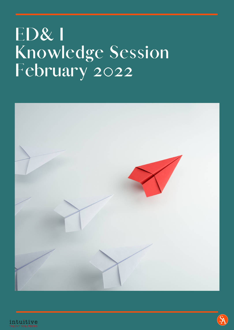# **ED& I Knowledge Session February 2022**



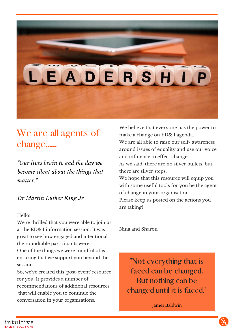# DERS

# **We are all agents of change......**

*"Our lives begin to end the day we become silent about the things that matter."*

### *Dr Martin Luther King Jr*

#### Hello!

We're thrilled that you were able to join us at the ED& I information session. It was great to see how engaged and intentional the roundtable participants were.

One of the things we were mindful of is ensuring that we support you beyond the session.

So, we've created this 'post-event' resource for you. It provides a number of recommendations of additional resources that will enable you to continue the conversation in your organisations.

We believe that everyone has the power to make a change on ED& I agenda. We are all able to raise our self- awareness around issues of equality and use our voice and influence to effect change.

As we said, there are no silver bullets, but there are silver steps.

We hope that this resource will equip you with some useful tools for you be the agent of change in your organisation.

Please keep us posted on the actions you are taking!

Nina and Sharon

**"Not everything that is faced can be changed. But nothing can be changed until it is faced."**

James Baldwin

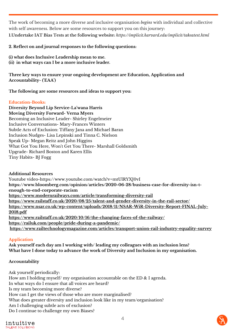The work of becoming a more diverse and inclusive organisation *begins* with individual and collective with self awareness. Below are some resources to support you on this journey: **1.Undertake IAT Bias Tests at the following website:** *https://implicit.harvard.edu/implicit/takeatest.html*

**2. Reflect on and journal responses to the following questions:**

**(i) what does Inclusive Leadership mean to me. (ii) in what ways can I be a more inclusive leader.**

**Three key ways to ensure your ongoing development are Education, Application and Accountability- ('EAA')**

**The following are some resources and ideas to support you:**

#### **Education-Books:**

**Diversity Beyond Lip Service-La'wana Harris Moving Diversity Forward- Verna Myers** Becoming an Inclusive Leader- Shirley Engelmeier Inclusive Conversations- Mary-Frances Winters Subtle Acts of Exclusion: Tiffany Jana and Michael Baran Inclusion Nudges- Lisa Lepinski and Tinna C. Nielson Speak Up- Megan Reitz and John Higgins What Got You Here, Won't Get You There- Marshall Goldsmith Upgrade- Richard Boston and Karen Ellis Tiny Habits- BJ Fogg

#### **Additional Resources**

Youtube video-https://www.youtube.com/watch?v=mtUlRYXJ0vI **https://www.bloomberg.com/opinion/articles/2020-06-28/business-case-for-diversity-isn-tenough-to-end-corporate-racism <https://www.modernrailways.com/article/transforming-diversity-rail> <https://www.railstaff.co.uk/2020/08/25/talent-and-gender-diversity-in-the-rail-sector/> [https://www.nsar.co.uk/wp-content/uploads/2018/11/NSAR-WiR-Diversity-Report-FINAL-July-](https://www.nsar.co.uk/wp-content/uploads/2018/11/NSAR-WiR-Diversity-Report-FINAL-July-2018.pdf)2018.pdf <https://www.railstaff.co.uk/2020/10/16/the-changing-faces-of-the-railway/> <https://railuk.com/people/pride-during-a-pandemic/> <https://www.railtechnologymagazine.com/articles/transport-union-rail-industry-equality-survey>**

#### **Application**

**Ask yourself each day am I working with/ leading my colleagues with an inclusion lens? What have I done today to advance the work of Diversity and Inclusion in my organisation.**

#### **Accountability**

Ask yourself periodically: How am I holding myself/ my organisation accountable on the ED & I agenda. In what ways do I ensure that all voices are heard? Is my team becoming more diverse? How can I get the views of those who are more marginalised? What does greater diversity and inclusion look like in my team/organisation? Am I challenging subtle acts of exclusion? Do I continue to challenge my own Biases?